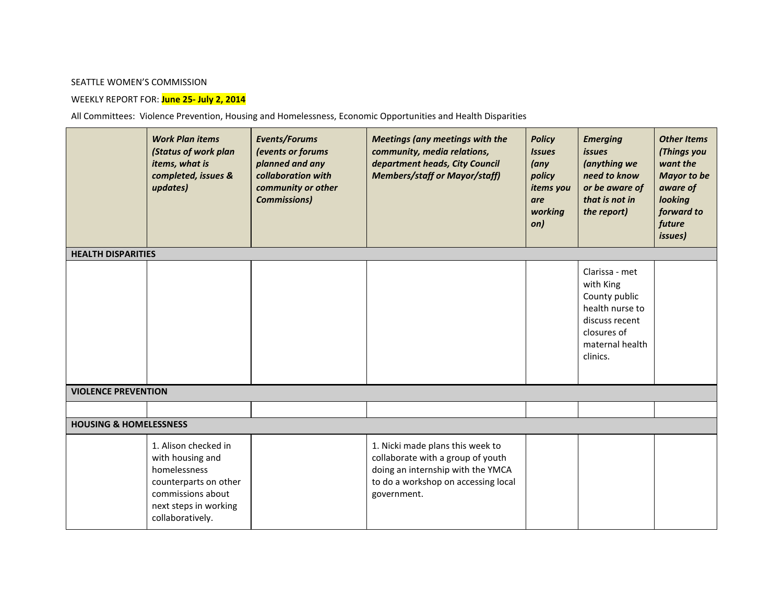## SEATTLE WOMEN'S COMMISSION

## WEEKLY REPORT FOR: **June 25- July 2, 2014**

All Committees: Violence Prevention, Housing and Homelessness, Economic Opportunities and Health Disparities

|                                   | <b>Work Plan items</b><br>(Status of work plan<br>items, what is<br>completed, issues &<br>updates)                                                 | Events/Forums<br>(events or forums<br>planned and any<br>collaboration with<br>community or other<br><b>Commissions)</b> | <b>Meetings (any meetings with the</b><br>community, media relations,<br>department heads, City Council<br><b>Members/staff or Mayor/staff)</b>                  | <b>Policy</b><br><b>Issues</b><br>$(\alpha n y)$<br>policy<br>items you<br>are<br>working<br>on) | <b>Emerging</b><br><i>issues</i><br>(anything we<br>need to know<br>or be aware of<br>that is not in<br>the report)             | <b>Other Items</b><br>(Things you<br>want the<br><b>Mayor to be</b><br>aware of<br>looking<br>forward to<br>future<br><i>issues</i> ) |  |  |  |  |
|-----------------------------------|-----------------------------------------------------------------------------------------------------------------------------------------------------|--------------------------------------------------------------------------------------------------------------------------|------------------------------------------------------------------------------------------------------------------------------------------------------------------|--------------------------------------------------------------------------------------------------|---------------------------------------------------------------------------------------------------------------------------------|---------------------------------------------------------------------------------------------------------------------------------------|--|--|--|--|
| <b>HEALTH DISPARITIES</b>         |                                                                                                                                                     |                                                                                                                          |                                                                                                                                                                  |                                                                                                  |                                                                                                                                 |                                                                                                                                       |  |  |  |  |
|                                   |                                                                                                                                                     |                                                                                                                          |                                                                                                                                                                  |                                                                                                  | Clarissa - met<br>with King<br>County public<br>health nurse to<br>discuss recent<br>closures of<br>maternal health<br>clinics. |                                                                                                                                       |  |  |  |  |
| <b>VIOLENCE PREVENTION</b>        |                                                                                                                                                     |                                                                                                                          |                                                                                                                                                                  |                                                                                                  |                                                                                                                                 |                                                                                                                                       |  |  |  |  |
|                                   |                                                                                                                                                     |                                                                                                                          |                                                                                                                                                                  |                                                                                                  |                                                                                                                                 |                                                                                                                                       |  |  |  |  |
| <b>HOUSING &amp; HOMELESSNESS</b> |                                                                                                                                                     |                                                                                                                          |                                                                                                                                                                  |                                                                                                  |                                                                                                                                 |                                                                                                                                       |  |  |  |  |
|                                   | 1. Alison checked in<br>with housing and<br>homelessness<br>counterparts on other<br>commissions about<br>next steps in working<br>collaboratively. |                                                                                                                          | 1. Nicki made plans this week to<br>collaborate with a group of youth<br>doing an internship with the YMCA<br>to do a workshop on accessing local<br>government. |                                                                                                  |                                                                                                                                 |                                                                                                                                       |  |  |  |  |